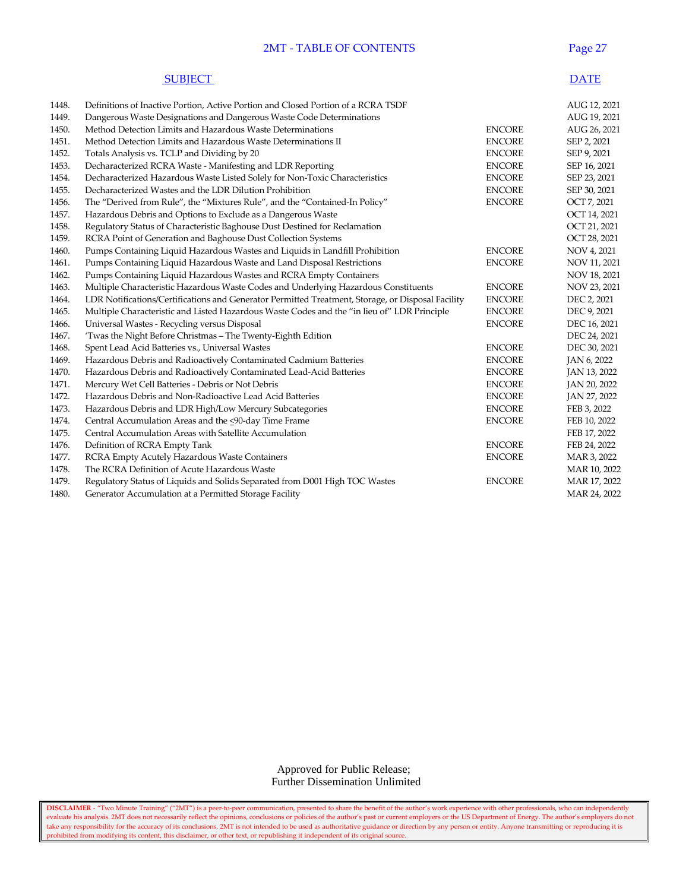## 2MT - TABLE OF CONTENTS Page 27

|       | <b>SUBJECT</b>                                                                                    |               | <b>DATE</b>  |
|-------|---------------------------------------------------------------------------------------------------|---------------|--------------|
| 1448. | Definitions of Inactive Portion, Active Portion and Closed Portion of a RCRA TSDF                 |               | AUG 12, 2021 |
| 1449. | Dangerous Waste Designations and Dangerous Waste Code Determinations                              |               | AUG 19, 2021 |
| 1450. | Method Detection Limits and Hazardous Waste Determinations                                        | <b>ENCORE</b> | AUG 26, 2021 |
| 1451. | Method Detection Limits and Hazardous Waste Determinations II                                     | <b>ENCORE</b> | SEP 2, 2021  |
| 1452. | Totals Analysis vs. TCLP and Dividing by 20                                                       | <b>ENCORE</b> | SEP 9, 2021  |
| 1453. | Decharacterized RCRA Waste - Manifesting and LDR Reporting                                        | <b>ENCORE</b> | SEP 16, 2021 |
| 1454. | Decharacterized Hazardous Waste Listed Solely for Non-Toxic Characteristics                       | <b>ENCORE</b> | SEP 23, 2021 |
| 1455. | Decharacterized Wastes and the LDR Dilution Prohibition                                           | <b>ENCORE</b> | SEP 30, 2021 |
| 1456. | The "Derived from Rule", the "Mixtures Rule", and the "Contained-In Policy"                       | <b>ENCORE</b> | OCT 7, 2021  |
| 1457. | Hazardous Debris and Options to Exclude as a Dangerous Waste                                      |               | OCT 14, 2021 |
| 1458. | Regulatory Status of Characteristic Baghouse Dust Destined for Reclamation                        |               | OCT 21, 2021 |
| 1459. | RCRA Point of Generation and Baghouse Dust Collection Systems                                     |               | OCT 28, 2021 |
| 1460. | Pumps Containing Liquid Hazardous Wastes and Liquids in Landfill Prohibition                      | <b>ENCORE</b> | NOV 4, 2021  |
| 1461. | Pumps Containing Liquid Hazardous Waste and Land Disposal Restrictions                            | <b>ENCORE</b> | NOV 11, 2021 |
| 1462. | Pumps Containing Liquid Hazardous Wastes and RCRA Empty Containers                                |               | NOV 18, 2021 |
| 1463. | Multiple Characteristic Hazardous Waste Codes and Underlying Hazardous Constituents               | <b>ENCORE</b> | NOV 23, 2021 |
| 1464. | LDR Notifications/Certifications and Generator Permitted Treatment, Storage, or Disposal Facility | <b>ENCORE</b> | DEC 2, 2021  |
| 1465. | Multiple Characteristic and Listed Hazardous Waste Codes and the "in lieu of" LDR Principle       | <b>ENCORE</b> | DEC 9, 2021  |
| 1466. | Universal Wastes - Recycling versus Disposal                                                      | <b>ENCORE</b> | DEC 16, 2021 |
| 1467. | 'Twas the Night Before Christmas - The Twenty-Eighth Edition                                      |               | DEC 24, 2021 |
| 1468. | Spent Lead Acid Batteries vs., Universal Wastes                                                   | <b>ENCORE</b> | DEC 30, 2021 |
| 1469. | Hazardous Debris and Radioactively Contaminated Cadmium Batteries                                 | <b>ENCORE</b> | JAN 6, 2022  |
| 1470. | Hazardous Debris and Radioactively Contaminated Lead-Acid Batteries                               | <b>ENCORE</b> | JAN 13, 2022 |
| 1471. | Mercury Wet Cell Batteries - Debris or Not Debris                                                 | <b>ENCORE</b> | JAN 20, 2022 |
| 1472. | Hazardous Debris and Non-Radioactive Lead Acid Batteries                                          | <b>ENCORE</b> | JAN 27, 2022 |
| 1473. | Hazardous Debris and LDR High/Low Mercury Subcategories                                           | <b>ENCORE</b> | FEB 3, 2022  |
| 1474. | Central Accumulation Areas and the <90-day Time Frame                                             | <b>ENCORE</b> | FEB 10, 2022 |
| 1475. | Central Accumulation Areas with Satellite Accumulation                                            |               | FEB 17, 2022 |
| 1476. | Definition of RCRA Empty Tank                                                                     | <b>ENCORE</b> | FEB 24, 2022 |
| 1477. | RCRA Empty Acutely Hazardous Waste Containers                                                     | <b>ENCORE</b> | MAR 3, 2022  |
| 1478. | The RCRA Definition of Acute Hazardous Waste                                                      |               | MAR 10, 2022 |
| 1479. | Regulatory Status of Liquids and Solids Separated from D001 High TOC Wastes                       | <b>ENCORE</b> | MAR 17, 2022 |
| 1480. | Generator Accumulation at a Permitted Storage Facility                                            |               | MAR 24, 2022 |

 Approved for Public Release; Further Dissemination Unlimited

**DISCLAIMER** - "Two Minute Training" ("2MT") is a peer-to-peer communication, presented to share the benefit of the author's work experience with other professionals, who can independently evaluate his analysis. 2MT does not necessarily reflect the opinions, conclusions or policies of the author's past or current employers or the US Department of Energy. The author's employers do not take any responsibility for the accuracy of its conclusions. 2MT is not intended to be used as authoritative guidance or direction by any person or entity. Anyone transmitting or reproducing it is prohibited from modifying its content, this disclaimer, or other text, or republishing it independent of its original source.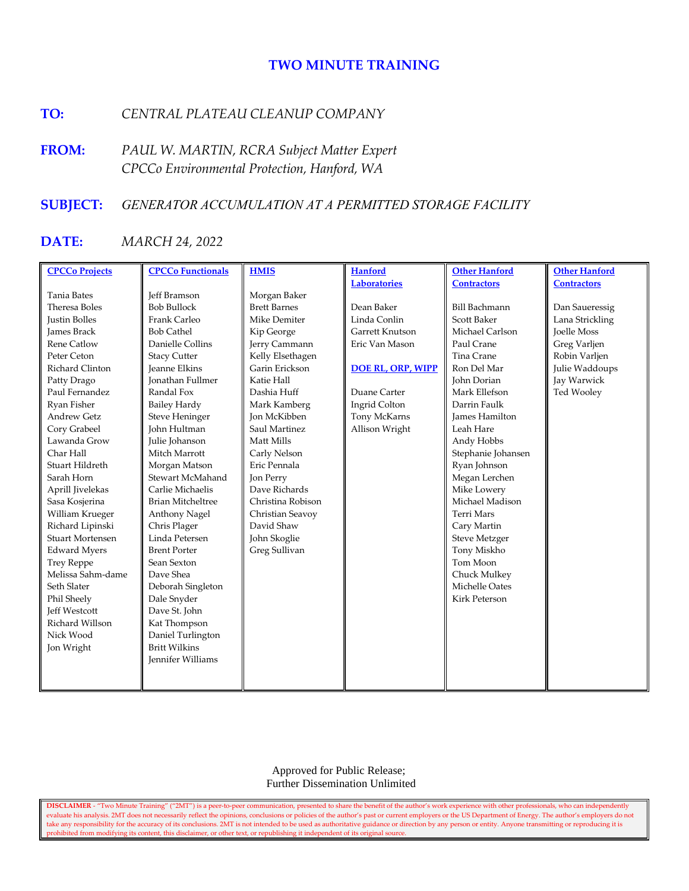# **TWO MINUTE TRAINING**

# **TO:** *CENTRAL PLATEAU CLEANUP COMPANY*

**FROM:** *PAUL W. MARTIN, RCRA Subject Matter Expert CPCCo Environmental Protection, Hanford, WA*

# **SUBJECT:** *GENERATOR ACCUMULATION AT A PERMITTED STORAGE FACILITY*

# **DATE:** *MARCH 24, 2022*

| <b>CPCCo Projects</b>   | <b>CPCCo Functionals</b> | <b>HMIS</b>         | <b>Hanford</b>           | <b>Other Hanford</b>  | <b>Other Hanford</b> |
|-------------------------|--------------------------|---------------------|--------------------------|-----------------------|----------------------|
|                         |                          |                     | <b>Laboratories</b>      | <b>Contractors</b>    | <b>Contractors</b>   |
| <b>Tania Bates</b>      | <b>Jeff Bramson</b>      | Morgan Baker        |                          |                       |                      |
| Theresa Boles           | <b>Bob Bullock</b>       | <b>Brett Barnes</b> | Dean Baker               | <b>Bill Bachmann</b>  | Dan Saueressig       |
| <b>Justin Bolles</b>    | Frank Carleo             | Mike Demiter        | Linda Conlin             | <b>Scott Baker</b>    | Lana Strickling      |
| <b>James Brack</b>      | <b>Bob Cathel</b>        | Kip George          | Garrett Knutson          | Michael Carlson       | <b>Joelle Moss</b>   |
| Rene Catlow             | Danielle Collins         | Jerry Cammann       | Eric Van Mason           | Paul Crane            | Greg Varljen         |
| Peter Ceton             | <b>Stacy Cutter</b>      | Kelly Elsethagen    |                          | Tina Crane            | Robin Varljen        |
| Richard Clinton         | <b>Jeanne Elkins</b>     | Garin Erickson      | <b>DOE RL, ORP, WIPP</b> | Ron Del Mar           | Julie Waddoups       |
| Patty Drago             | <b>Jonathan Fullmer</b>  | Katie Hall          |                          | John Dorian           | Jay Warwick          |
| Paul Fernandez          | Randal Fox               | Dashia Huff         | Duane Carter             | Mark Ellefson         | Ted Wooley           |
| Ryan Fisher             | <b>Bailey Hardy</b>      | Mark Kamberg        | Ingrid Colton            | Darrin Faulk          |                      |
| Andrew Getz             | <b>Steve Heninger</b>    | Jon McKibben        | Tony McKarns             | <b>James Hamilton</b> |                      |
| Cory Grabeel            | John Hultman             | Saul Martinez       | Allison Wright           | Leah Hare             |                      |
| Lawanda Grow            | Julie Johanson           | Matt Mills          |                          | Andy Hobbs            |                      |
| Char Hall               | Mitch Marrott            | Carly Nelson        |                          | Stephanie Johansen    |                      |
| Stuart Hildreth         | Morgan Matson            | Eric Pennala        |                          | Ryan Johnson          |                      |
| Sarah Horn              | Stewart McMahand         | Jon Perry           |                          | Megan Lerchen         |                      |
| Aprill Jivelekas        | Carlie Michaelis         | Dave Richards       |                          | Mike Lowery           |                      |
| Sasa Kosjerina          | <b>Brian Mitcheltree</b> | Christina Robison   |                          | Michael Madison       |                      |
| William Krueger         | Anthony Nagel            | Christian Seavoy    |                          | <b>Terri Mars</b>     |                      |
| Richard Lipinski        | Chris Plager             | David Shaw          |                          | Cary Martin           |                      |
| <b>Stuart Mortensen</b> | Linda Petersen           | John Skoglie        |                          | <b>Steve Metzger</b>  |                      |
| <b>Edward Myers</b>     | <b>Brent Porter</b>      | Greg Sullivan       |                          | Tony Miskho           |                      |
| <b>Trey Reppe</b>       | Sean Sexton              |                     |                          | Tom Moon              |                      |
| Melissa Sahm-dame       | Dave Shea                |                     |                          | Chuck Mulkey          |                      |
| Seth Slater             | Deborah Singleton        |                     |                          | Michelle Oates        |                      |
| Phil Sheely             | Dale Snyder              |                     |                          | <b>Kirk Peterson</b>  |                      |
| <b>Jeff Westcott</b>    | Dave St. John            |                     |                          |                       |                      |
| Richard Willson         | Kat Thompson             |                     |                          |                       |                      |
| Nick Wood               | Daniel Turlington        |                     |                          |                       |                      |
| Jon Wright              | <b>Britt Wilkins</b>     |                     |                          |                       |                      |
|                         | Jennifer Williams        |                     |                          |                       |                      |
|                         |                          |                     |                          |                       |                      |
|                         |                          |                     |                          |                       |                      |

 Approved for Public Release; Further Dissemination Unlimited

**DISCLAIMER** - "Two Minute Training" ("2MT") is a peer-to-peer communication, presented to share the benefit of the author's work experience with other professionals, who can independently evaluate his analysis. 2MT does not necessarily reflect the opinions, conclusions or policies of the author's past or current employers or the US Department of Energy. The author's employers do not take any responsibility for the accuracy of its conclusions. 2MT is not intended to be used as authoritative guidance or direction by any person or entity. Anyone transmitting or reproducing it is prohibited from modifying its content, this disclaimer, or other text, or republishing it independent of its original source.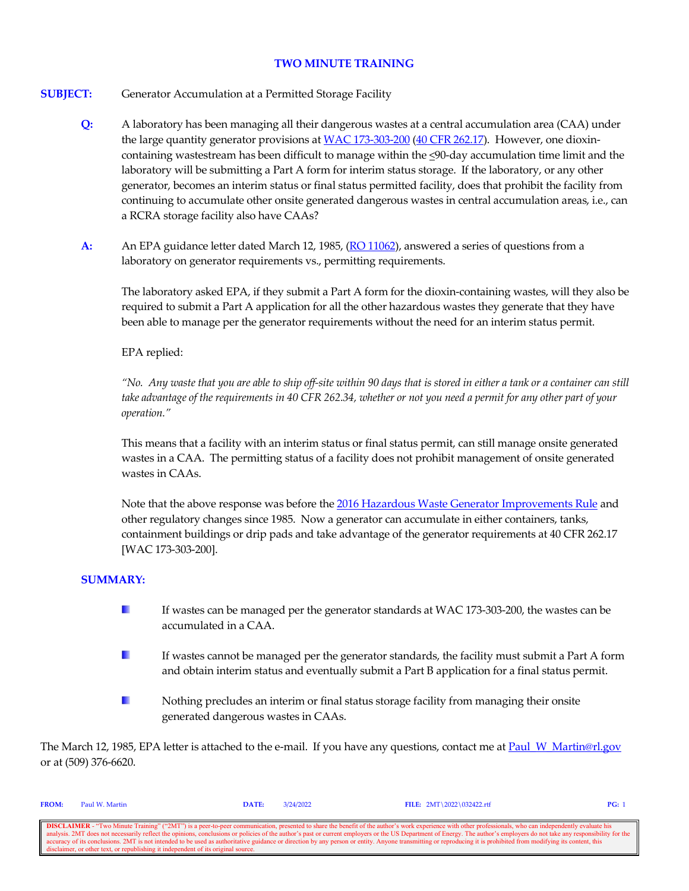## **TWO MINUTE TRAINING**

- **SUBJECT:** Generator Accumulation at a Permitted Storage Facility
	- **Q:** A laboratory has been managing all their dangerous wastes at a central accumulation area (CAA) under the large quantity generator provisions a[t WAC 173-303-200](https://apps.leg.wa.gov/wac/default.aspx?cite=173-303-200) [\(40 CFR 262.17\)](https://www.govinfo.gov/content/pkg/CFR-2021-title40-vol28/xml/CFR-2021-title40-vol28-sec262-17.xml). However, one dioxincontaining wastestream has been difficult to manage within the <90-day accumulation time limit and the laboratory will be submitting a Part A form for interim status storage. If the laboratory, or any other generator, becomes an interim status or final status permitted facility, does that prohibit the facility from continuing to accumulate other onsite generated dangerous wastes in central accumulation areas, i.e., can a RCRA storage facility also have CAAs?
	- **A:** An EPA guidance letter dated March 12, 1985, [\(RO 11062\)](https://rcrapublic.epa.gov/rcraonline/details.xhtml?rcra=11062), answered a series of questions from a laboratory on generator requirements vs., permitting requirements.

The laboratory asked EPA, if they submit a Part A form for the dioxin-containing wastes, will they also be required to submit a Part A application for all the other hazardous wastes they generate that they have been able to manage per the generator requirements without the need for an interim status permit.

# EPA replied:

*"No. Any waste that you are able to ship off-site within 90 days that is stored in either a tank or a container can still take advantage of the requirements in 40 CFR 262.34, whether or not you need a permit for any other part of your operation."*

This means that a facility with an interim status or final status permit, can still manage onsite generated wastes in a CAA. The permitting status of a facility does not prohibit management of onsite generated wastes in CAAs.

Note that the above response was before th[e 2016 Hazardous Waste Generator Improvements Rule](https://www.epa.gov/hwgenerators/final-rule-hazardous-waste-generator-improvements) and other regulatory changes since 1985. Now a generator can accumulate in either containers, tanks, containment buildings or drip pads and take advantage of the generator requirements at 40 CFR 262.17 [WAC 173-303-200].

## **SUMMARY:**

- **I** If wastes can be managed per the generator standards at WAC 173-303-200, the wastes can be accumulated in a CAA.
- **B** If wastes cannot be managed per the generator standards, the facility must submit a Part A form and obtain interim status and eventually submit a Part B application for a final status permit.
- a. Nothing precludes an interim or final status storage facility from managing their onsite generated dangerous wastes in CAAs.

The March 12, 1985, EPA letter is attached to the e-mail. If you have any questions, contact me at Paul W\_Martin@rl.gov or at (509) 376-6620.

| <b>FROM:</b>                                                                                                                                                                                                     | Paul W. Martin                                                                    | DATE: | 3/24/2022 | FILE: $2MT \ 2022 \ 032422.rtf$                                                                                                                                                                                          | PG: |  |  |  |
|------------------------------------------------------------------------------------------------------------------------------------------------------------------------------------------------------------------|-----------------------------------------------------------------------------------|-------|-----------|--------------------------------------------------------------------------------------------------------------------------------------------------------------------------------------------------------------------------|-----|--|--|--|
|                                                                                                                                                                                                                  |                                                                                   |       |           |                                                                                                                                                                                                                          |     |  |  |  |
| <b>DISCLAIMER</b> - "Two Minute Training" ("2MT") is a peer-to-peer communication, presented to share the benefit of the author's work experience with other professionals, who can independently evaluate his   |                                                                                   |       |           |                                                                                                                                                                                                                          |     |  |  |  |
|                                                                                                                                                                                                                  |                                                                                   |       |           | analysis. 2MT does not necessarily reflect the opinions, conclusions or policies of the author's past or current employers or the US Department of Energy. The author's employers do not take any responsibility for the |     |  |  |  |
| accuracy of its conclusions. 2MT is not intended to be used as authoritative guidance or direction by any person or entity. Anyone transmitting or reproducing it is prohibited from modifying its content, this |                                                                                   |       |           |                                                                                                                                                                                                                          |     |  |  |  |
|                                                                                                                                                                                                                  | disclaimer, or other text, or republishing it independent of its original source. |       |           |                                                                                                                                                                                                                          |     |  |  |  |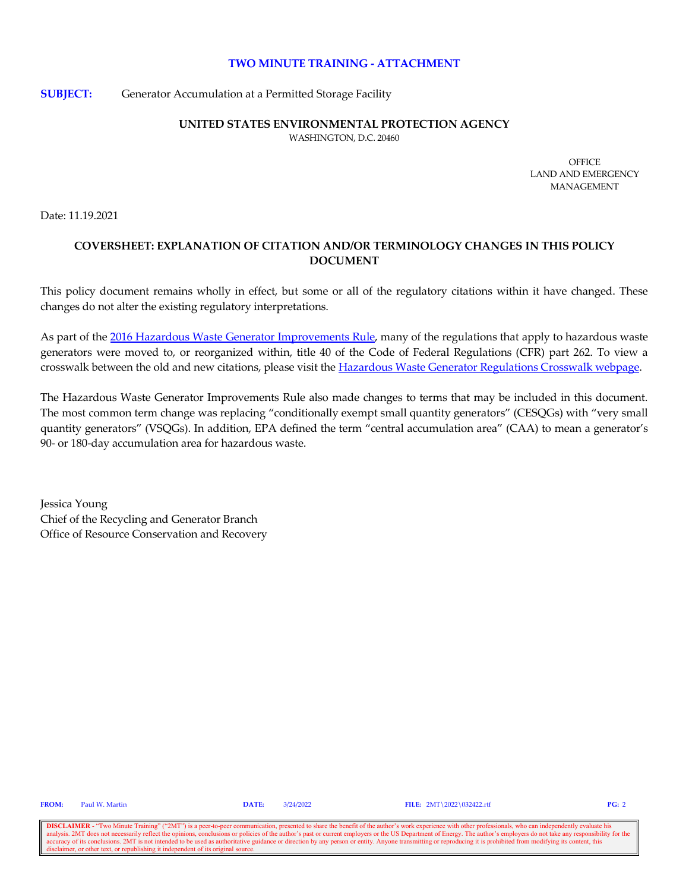#### **TWO MINUTE TRAINING - ATTACHMENT**

**SUBJECT:** Generator Accumulation at a Permitted Storage Facility

### **UNITED STATES ENVIRONMENTAL PROTECTION AGENCY**

WASHINGTON, D.C. 20460

**OFFICE** LAND AND EMERGENCY MANAGEMENT

Date: 11.19.2021

# **COVERSHEET: EXPLANATION OF CITATION AND/OR TERMINOLOGY CHANGES IN THIS POLICY DOCUMENT**

This policy document remains wholly in effect, but some or all of the regulatory citations within it have changed. These changes do not alter the existing regulatory interpretations.

As part of the [2016 Hazardous Waste Generator Improvements Rule,](https://www.epa.gov/hwgenerators/final-rule-hazardous-waste-generator-improvements) many of the regulations that apply to hazardous waste generators were moved to, or reorganized within, title 40 of the Code of Federal Regulations (CFR) part 262. To view a crosswalk between the old and new citations, please visit the [Hazardous Waste Generator Regulations Crosswalk webpage.](https://www.epa.gov/hwgenerators/hazardous-waste-generator-regulations-crosswalk) 

The Hazardous Waste Generator Improvements Rule also made changes to terms that may be included in this document. The most common term change was replacing "conditionally exempt small quantity generators" (CESQGs) with "very small quantity generators" (VSQGs). In addition, EPA defined the term "central accumulation area" (CAA) to mean a generator's 90- or 180-day accumulation area for hazardous waste.

Jessica Young Chief of the Recycling and Generator Branch Office of Resource Conservation and Recovery

**DISCLAIMER** - "Two Minute Training" ("2MT") is a peer-to-peer communication, presented to share the benefit of the author's work experience with other professionals, who can independently evaluate his analysis. 2MT does n expect to necessary or policies of the author's past or current employers or the US Department of Energy. The author's employers do not take any responsibility for the accuracy of its conclusions. 2MT is not intended to be used as authoritative guidance or direction by any person or entity. Anyone transmitting or reproducing it is prohibited from modifying its content, this discrete text, or republishing it independent of its original source.

**FROM:** Paul W. Martin **DATE:** 3/24/2022 **FILE:** 2MT\2022\032422.rtf **PG:** 2